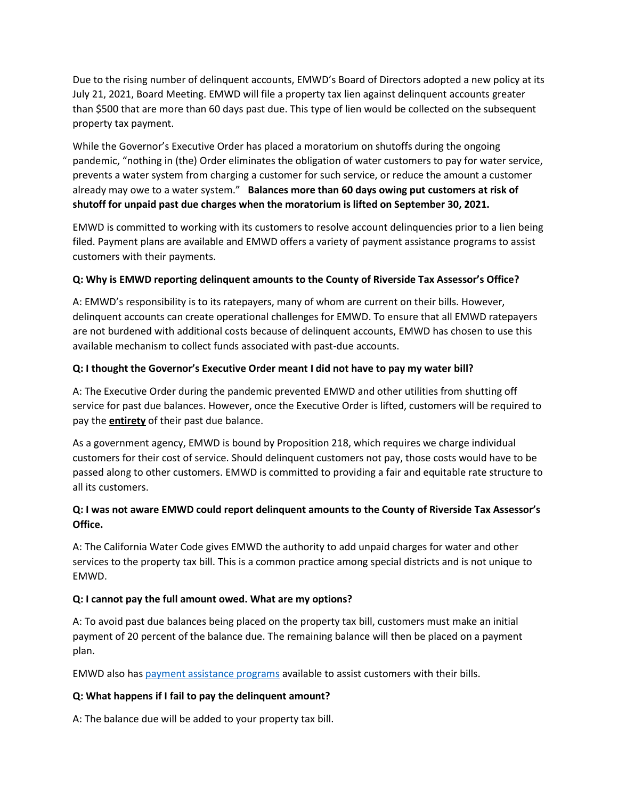Due to the rising number of delinquent accounts, EMWD's Board of Directors adopted a new policy at its July 21, 2021, Board Meeting. EMWD will file a property tax lien against delinquent accounts greater than \$500 that are more than 60 days past due. This type of lien would be collected on the subsequent property tax payment.

While the Governor's Executive Order has placed a moratorium on shutoffs during the ongoing pandemic, "nothing in (the) Order eliminates the obligation of water customers to pay for water service, prevents a water system from charging a customer for such service, or reduce the amount a customer already may owe to a water system." **Balances more than 60 days owing put customers at risk of shutoff for unpaid past due charges when the moratorium is lifted on September 30, 2021.**

EMWD is committed to working with its customers to resolve account delinquencies prior to a lien being filed. Payment plans are available and EMWD offers a variety of payment assistance programs to assist customers with their payments.

# **Q: Why is EMWD reporting delinquent amounts to the County of Riverside Tax Assessor's Office?**

A: EMWD's responsibility is to its ratepayers, many of whom are current on their bills. However, delinquent accounts can create operational challenges for EMWD. To ensure that all EMWD ratepayers are not burdened with additional costs because of delinquent accounts, EMWD has chosen to use this available mechanism to collect funds associated with past-due accounts.

## **Q: I thought the Governor's Executive Order meant I did not have to pay my water bill?**

A: The Executive Order during the pandemic prevented EMWD and other utilities from shutting off service for past due balances. However, once the Executive Order is lifted, customers will be required to pay the **entirety** of their past due balance.

As a government agency, EMWD is bound by Proposition 218, which requires we charge individual customers for their cost of service. Should delinquent customers not pay, those costs would have to be passed along to other customers. EMWD is committed to providing a fair and equitable rate structure to all its customers.

# **Q: I was not aware EMWD could report delinquent amounts to the County of Riverside Tax Assessor's Office.**

A: The California Water Code gives EMWD the authority to add unpaid charges for water and other services to the property tax bill. This is a common practice among special districts and is not unique to EMWD.

# **Q: I cannot pay the full amount owed. What are my options?**

A: To avoid past due balances being placed on the property tax bill, customers must make an initial payment of 20 percent of the balance due. The remaining balance will then be placed on a payment plan.

EMWD also has [payment assistance programs](https://www.emwd.org/payment-assistance-programs) available to assist customers with their bills.

# **Q: What happens if I fail to pay the delinquent amount?**

A: The balance due will be added to your property tax bill.